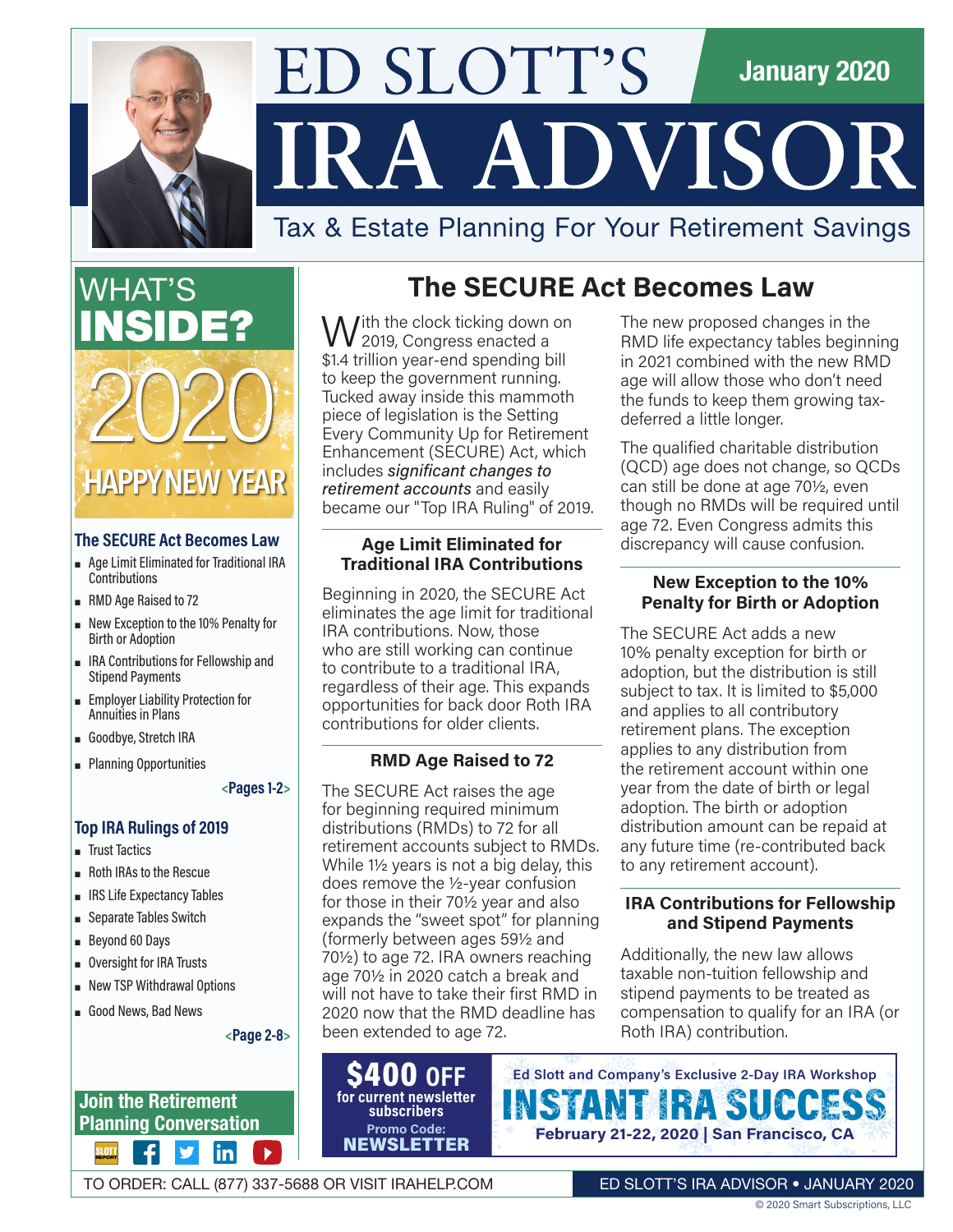

# ED SLOTT'S **January 2020** IRA ADVISOR

# Tax & Estate Planning For Your Retirement Savings

WHAT'S INSIDE? **HAPPY NEW YEAR** 2020

### **The SECURE Act Becomes Law**

- ρ Age Limit Eliminated for Traditional IRA Contributions
- **RMD** Age Raised to 72
- **Rew Exception to the 10% Penalty for** Birth or Adoption
- ρ IRA Contributions for Fellowship and Stipend Payments
- ρ Employer Liability Protection for Annuities in Plans
- **β** Goodbye, Stretch IRA
- **-** Planning Opportunities

**<Pages 1-2>**

### **Top IRA Rulings of 2019**

- **F** Trust Tactics
- ρ Roth IRAs to the Rescue
- **. IRS Life Expectancy Tables**
- Separate Tables Switch
- **Beyond 60 Days**
- **.** Oversight for IRA Trusts
- **New TSP Withdrawal Options**
- **β** Good News, Bad News

**<Page 2-8>**

 $|{\sf in}|$ 

**Join the Retirement Planning Conversation**

# **The SECURE Act Becomes Law**

 $\Lambda$ /ith the clock ticking down on 2019, Congress enacted a \$1.4 trillion year-end spending bill to keep the government running. Tucked away inside this mammoth piece of legislation is the Setting Every Community Up for Retirement Enhancement (SECURE) Act, which includes *significant changes to retirement accounts* and easily became our "Top IRA Ruling" of 2019.

### **Age Limit Eliminated for Traditional IRA Contributions**

Beginning in 2020, the SECURE Act eliminates the age limit for traditional IRA contributions. Now, those who are still working can continue to contribute to a traditional IRA, regardless of their age. This expands opportunities for back door Roth IRA contributions for older clients.

### **RMD Age Raised to 72**

The SECURE Act raises the age for beginning required minimum distributions (RMDs) to 72 for all retirement accounts subject to RMDs. While  $1\frac{1}{2}$  years is not a big delay, this does remove the ½-year confusion for those in their 70½ year and also expands the "sweet spot" for planning (formerly between ages 59½ and 70½) to age 72. IRA owners reaching age 70½ in 2020 catch a break and will not have to take their first RMD in 2020 now that the RMD deadline has been extended to age 72.

\$400 **OFF for current newsletter subscribers Promo Code: NEWSLETTER** 

The new proposed changes in the RMD life expectancy tables beginning in 2021 combined with the new RMD age will allow those who don't need the funds to keep them growing taxdeferred a little longer.

The qualified charitable distribution (QCD) age does not change, so QCDs can still be done at age 70½, even though no RMDs will be required until age 72. Even Congress admits this discrepancy will cause confusion.

### **New Exception to the 10% Penalty for Birth or Adoption**

The SECURE Act adds a new 10% penalty exception for birth or adoption, but the distribution is still subject to tax. It is limited to \$5,000 and applies to all contributory retirement plans. The exception applies to any distribution from the retirement account within one year from the date of birth or legal adoption. The birth or adoption distribution amount can be repaid at any future time (re-contributed back to any retirement account).

### **IRA Contributions for Fellowship and Stipend Payments**

Additionally, the new law allows taxable non-tuition fellowship and stipend payments to be treated as compensation to qualify for an IRA (or Roth IRA) contribution.



TO ORDER: CALL (877) 337-5688 OR VISIT [IRAHELP.COM](https://www.irahelp.com/)

ED SLOTT'S IRA ADVISOR • JANUARY 2020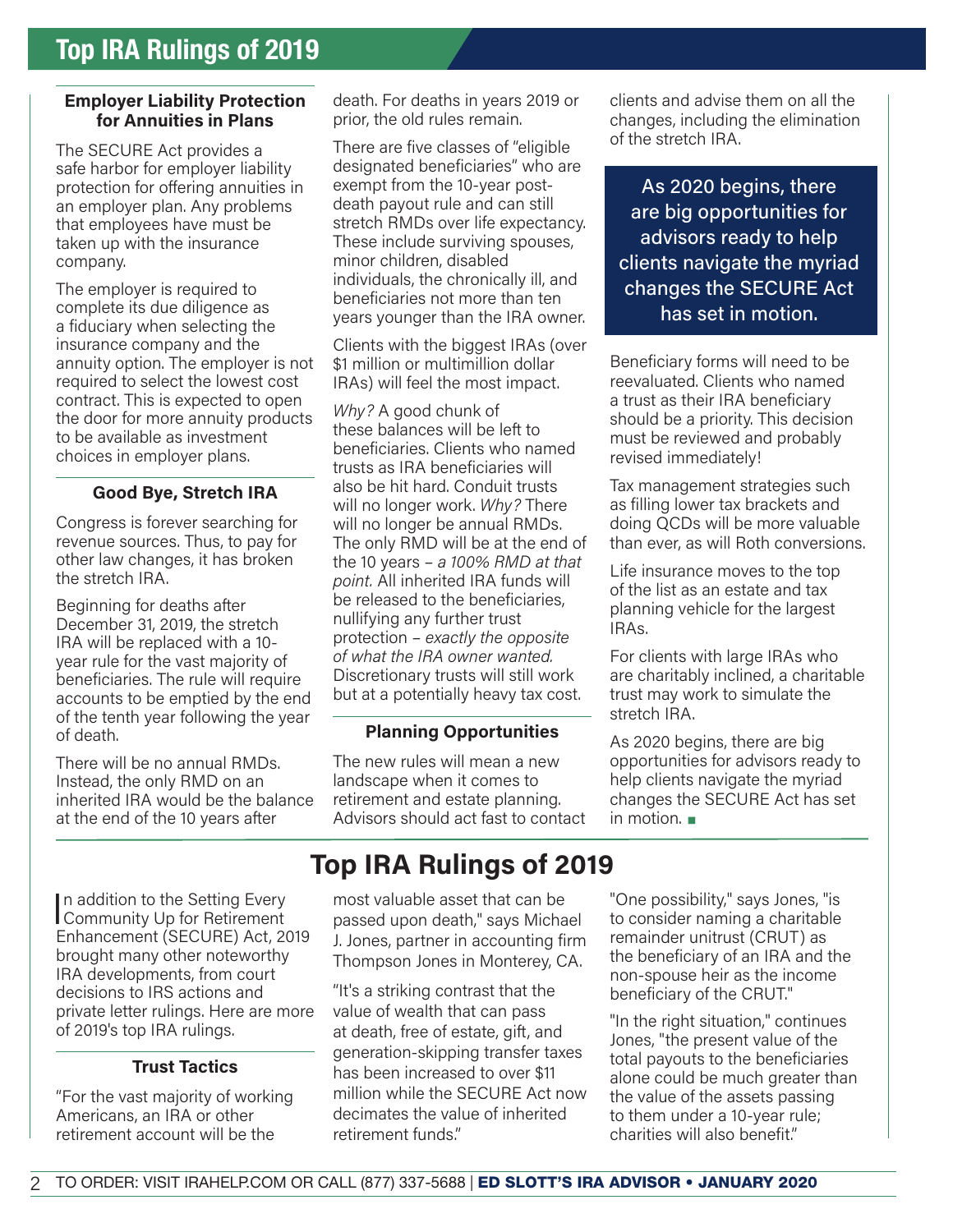#### **Employer Liability Protection for Annuities in Plans**

The SECURE Act provides a safe harbor for employer liability protection for offering annuities in an employer plan. Any problems that employees have must be taken up with the insurance company.

The employer is required to complete its due diligence as a fiduciary when selecting the insurance company and the annuity option. The employer is not required to select the lowest cost contract. This is expected to open the door for more annuity products to be available as investment choices in employer plans.

### **Good Bye, Stretch IRA**

Congress is forever searching for revenue sources. Thus, to pay for other law changes, it has broken the stretch IRA.

Beginning for deaths after December 31, 2019, the stretch IRA will be replaced with a 10 year rule for the vast majority of beneficiaries. The rule will require accounts to be emptied by the end of the tenth year following the year of death.

There will be no annual RMDs. Instead, the only RMD on an inherited IRA would be the balance at the end of the 10 years after

In addition to the Setting Every<br>Community Up for Retirement In addition to the Setting Every Enhancement (SECURE) Act, 2019 brought many other noteworthy IRA developments, from court decisions to IRS actions and private letter rulings. Here are more of 2019's top IRA rulings.

### **Trust Tactics**

"For the vast majority of working Americans, an IRA or other retirement account will be the

death. For deaths in years 2019 or prior, the old rules remain.

There are five classes of "eligible designated beneficiaries" who are exempt from the 10-year postdeath payout rule and can still stretch RMDs over life expectancy. These include surviving spouses, minor children, disabled individuals, the chronically ill, and beneficiaries not more than ten years younger than the IRA owner.

Clients with the biggest IRAs (over \$1 million or multimillion dollar IRAs) will feel the most impact.

*Why?* A good chunk of these balances will be left to beneficiaries. Clients who named trusts as IRA beneficiaries will also be hit hard. Conduit trusts will no longer work. *Why?* There will no longer be annual RMDs. The only RMD will be at the end of the 10 years – *a 100% RMD at that point.* All inherited IRA funds will be released to the beneficiaries, nullifying any further trust protection – *exactly the opposite of what the IRA owner wanted.* Discretionary trusts will still work but at a potentially heavy tax cost.

### **Planning Opportunities**

The new rules will mean a new landscape when it comes to retirement and estate planning. Advisors should act fast to contact clients and advise them on all the changes, including the elimination of the stretch IRA.

As 2020 begins, there are big opportunities for advisors ready to help clients navigate the myriad changes the SECURE Act has set in motion.

Beneficiary forms will need to be reevaluated. Clients who named a trust as their IRA beneficiary should be a priority. This decision must be reviewed and probably revised immediately!

Tax management strategies such as filling lower tax brackets and doing QCDs will be more valuable than ever, as will Roth conversions.

Life insurance moves to the top of the list as an estate and tax planning vehicle for the largest IRAs.

For clients with large IRAs who are charitably inclined, a charitable trust may work to simulate the stretch IRA.

As 2020 begins, there are big opportunities for advisors ready to help clients navigate the myriad changes the SECURE Act has set in motion.  $\blacksquare$ 

# **Top IRA Rulings of 2019**

most valuable asset that can be passed upon death," says Michael J. Jones, partner in accounting firm Thompson Jones in Monterey, CA.

"It's a striking contrast that the value of wealth that can pass at death, free of estate, gift, and generation-skipping transfer taxes has been increased to over \$11 million while the SECURE Act now decimates the value of inherited retirement funds."

"One possibility," says Jones, "is to consider naming a charitable remainder unitrust (CRUT) as the beneficiary of an IRA and the non-spouse heir as the income beneficiary of the CRUT."

"In the right situation," continues Jones, "the present value of the total payouts to the beneficiaries alone could be much greater than the value of the assets passing to them under a 10-year rule; charities will also benefit."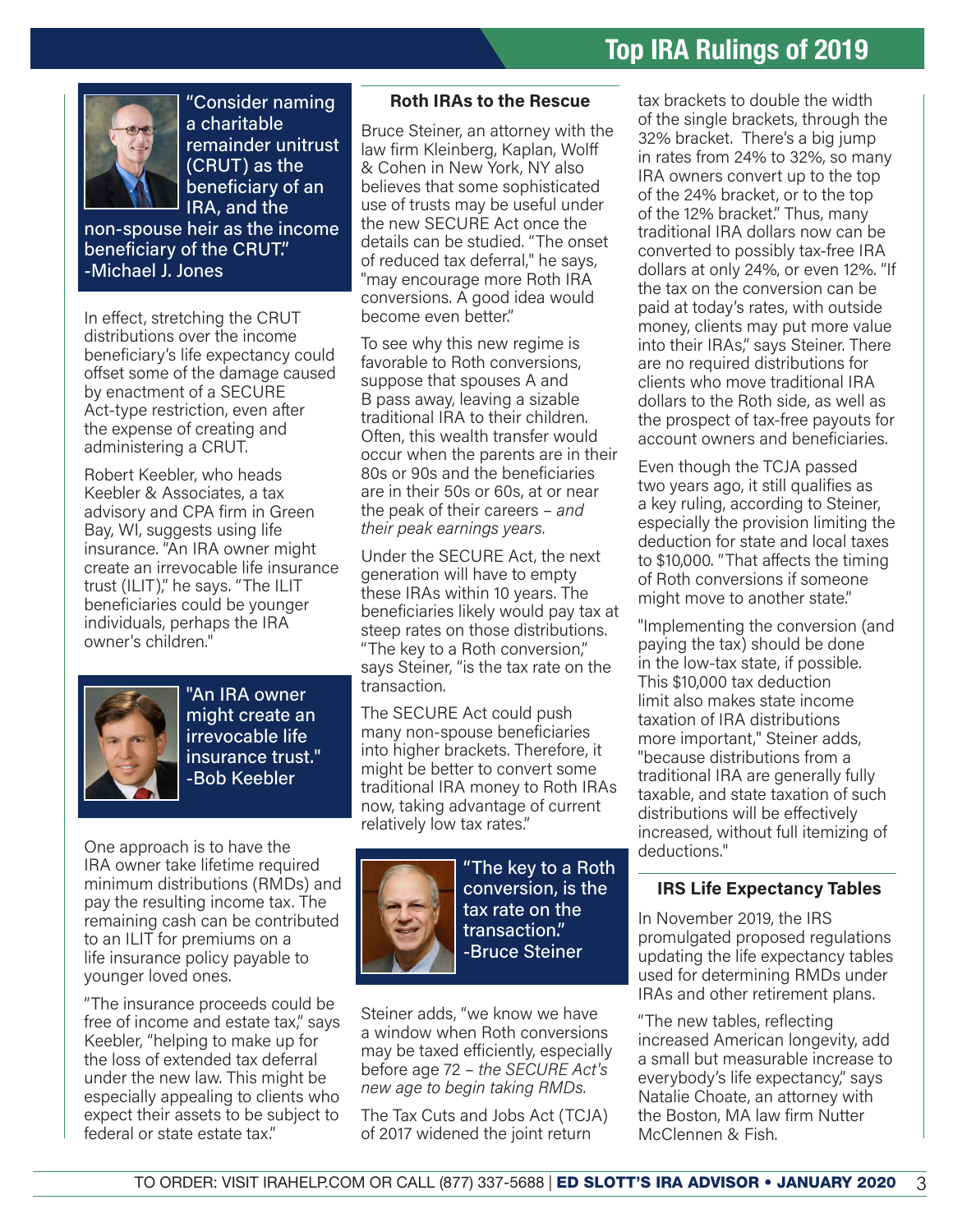

"Consider naming a charitable remainder unitrust (CRUT) as the beneficiary of an IRA, and the

non-spouse heir as the income beneficiary of the CRUT." -Michael J. Jones

In effect, stretching the CRUT distributions over the income beneficiary's life expectancy could offset some of the damage caused by enactment of a SECURE Act-type restriction, even after the expense of creating and administering a CRUT.

Robert Keebler, who heads Keebler & Associates, a tax advisory and CPA firm in Green Bay, WI, suggests using life insurance. "An IRA owner might create an irrevocable life insurance trust (ILIT)," he says. "The ILIT beneficiaries could be younger individuals, perhaps the IRA owner's children."



"An IRA owner might create an irrevocable life insurance trust." -Bob Keebler

One approach is to have the IRA owner take lifetime required minimum distributions (RMDs) and pay the resulting income tax. The remaining cash can be contributed to an ILIT for premiums on a life insurance policy payable to younger loved ones.

"The insurance proceeds could be free of income and estate tax," says Keebler, "helping to make up for the loss of extended tax deferral under the new law. This might be especially appealing to clients who expect their assets to be subject to federal or state estate tax."

#### **Roth IRAs to the Rescue**

Bruce Steiner, an attorney with the law firm Kleinberg, Kaplan, Wolff & Cohen in New York, NY also believes that some sophisticated use of trusts may be useful under the new SECURE Act once the details can be studied. "The onset of reduced tax deferral," he says, "may encourage more Roth IRA conversions. A good idea would become even better."

To see why this new regime is favorable to Roth conversions, suppose that spouses A and B pass away, leaving a sizable traditional IRA to their children. Often, this wealth transfer would occur when the parents are in their 80s or 90s and the beneficiaries are in their 50s or 60s, at or near the peak of their careers – *and their peak earnings years.*

Under the SECURE Act, the next generation will have to empty these IRAs within 10 years. The beneficiaries likely would pay tax at steep rates on those distributions. "The key to a Roth conversion," says Steiner, "is the tax rate on the transaction.

The SECURE Act could push many non-spouse beneficiaries into higher brackets. Therefore, it might be better to convert some traditional IRA money to Roth IRAs now, taking advantage of current relatively low tax rates."



"The key to a Roth conversion, is the tax rate on the transaction." -Bruce Steiner

Steiner adds, "we know we have a window when Roth conversions may be taxed efficiently, especially before age 72 – *the SECURE Act's new age to begin taking RMDs.*

The Tax Cuts and Jobs Act (TCJA) of 2017 widened the joint return

tax brackets to double the width of the single brackets, through the 32% bracket. There's a big jump in rates from 24% to 32%, so many IRA owners convert up to the top of the 24% bracket, or to the top of the 12% bracket." Thus, many traditional IRA dollars now can be converted to possibly tax-free IRA dollars at only 24%, or even 12%. "If the tax on the conversion can be paid at today's rates, with outside money, clients may put more value into their IRAs," says Steiner. There are no required distributions for clients who move traditional IRA dollars to the Roth side, as well as the prospect of tax-free payouts for account owners and beneficiaries.

Even though the TCJA passed two years ago, it still qualifies as a key ruling, according to Steiner, especially the provision limiting the deduction for state and local taxes to \$10,000. "That affects the timing of Roth conversions if someone might move to another state."

"Implementing the conversion (and paying the tax) should be done in the low-tax state, if possible. This \$10,000 tax deduction limit also makes state income taxation of IRA distributions more important," Steiner adds, "because distributions from a traditional IRA are generally fully taxable, and state taxation of such distributions will be effectively increased, without full itemizing of deductions."

#### **IRS Life Expectancy Tables**

In November 2019, the IRS promulgated proposed regulations updating the life expectancy tables used for determining RMDs under IRAs and other retirement plans.

"The new tables, reflecting increased American longevity, add a small but measurable increase to everybody's life expectancy," says Natalie Choate, an attorney with the Boston, MA law firm Nutter McClennen & Fish.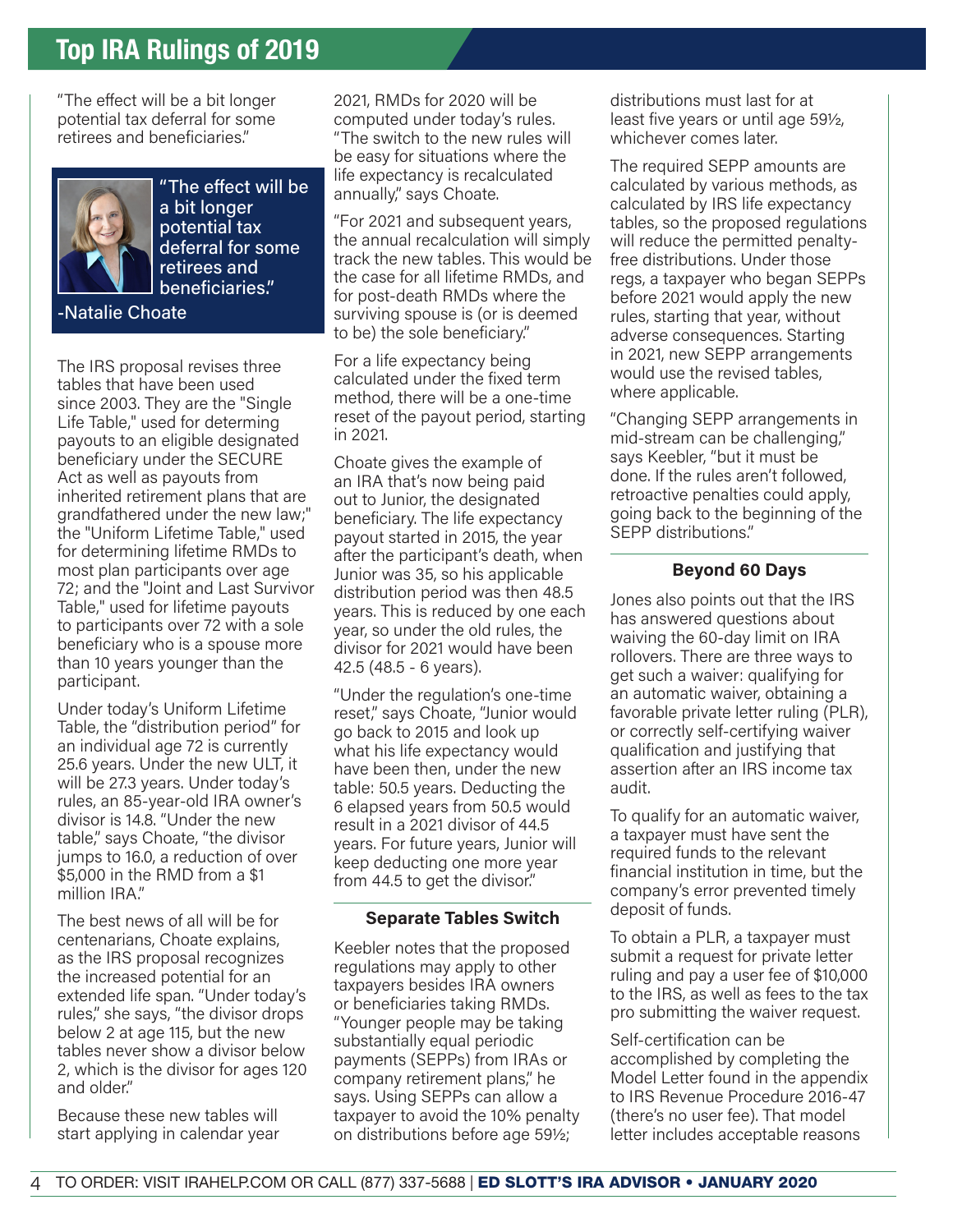"The effect will be a bit longer potential tax deferral for some retirees and beneficiaries."



"The effect will be a bit longer potential tax deferral for some retirees and beneficiaries."

-Natalie Choate

The IRS proposal revises three tables that have been used since 2003. They are the "Single Life Table," used for determing payouts to an eligible designated beneficiary under the SECURE Act as well as payouts from inherited retirement plans that are grandfathered under the new law;" the "Uniform Lifetime Table," used for determining lifetime RMDs to most plan participants over age 72; and the "Joint and Last Survivor Table," used for lifetime payouts to participants over 72 with a sole beneficiary who is a spouse more than 10 years younger than the participant.

Under today's Uniform Lifetime Table, the "distribution period" for an individual age 72 is currently 25.6 years. Under the new ULT, it will be 27.3 years. Under today's rules, an 85-year-old IRA owner's divisor is 14.8. "Under the new table," says Choate, "the divisor jumps to 16.0, a reduction of over \$5,000 in the RMD from a \$1 million IRA."

The best news of all will be for centenarians, Choate explains, as the IRS proposal recognizes the increased potential for an extended life span. "Under today's rules," she says, "the divisor drops below 2 at age 115, but the new tables never show a divisor below 2, which is the divisor for ages 120 and older."

Because these new tables will start applying in calendar year 2021, RMDs for 2020 will be computed under today's rules. "The switch to the new rules will be easy for situations where the life expectancy is recalculated annually," says Choate.

"For 2021 and subsequent years, the annual recalculation will simply track the new tables. This would be the case for all lifetime RMDs, and for post-death RMDs where the surviving spouse is (or is deemed to be) the sole beneficiary."

For a life expectancy being calculated under the fixed term method, there will be a one-time reset of the payout period, starting in 2021.

Choate gives the example of an IRA that's now being paid out to Junior, the designated beneficiary. The life expectancy payout started in 2015, the year after the participant's death, when Junior was 35, so his applicable distribution period was then 48.5 years. This is reduced by one each year, so under the old rules, the divisor for 2021 would have been 42.5 (48.5 - 6 years).

"Under the regulation's one-time reset," says Choate, "Junior would go back to 2015 and look up what his life expectancy would have been then, under the new table: 50.5 years. Deducting the 6 elapsed years from 50.5 would result in a 2021 divisor of 44.5 years. For future years, Junior will keep deducting one more year from 44.5 to get the divisor."

#### **Separate Tables Switch**

Keebler notes that the proposed regulations may apply to other taxpayers besides IRA owners or beneficiaries taking RMDs. "Younger people may be taking substantially equal periodic payments (SEPPs) from IRAs or company retirement plans," he says. Using SEPPs can allow a taxpayer to avoid the 10% penalty on distributions before age 591/2;

distributions must last for at least five years or until age  $59\frac{1}{2}$ , whichever comes later.

The required SEPP amounts are calculated by various methods, as calculated by IRS life expectancy tables, so the proposed regulations will reduce the permitted penaltyfree distributions. Under those regs, a taxpayer who began SEPPs before 2021 would apply the new rules, starting that year, without adverse consequences. Starting in 2021, new SEPP arrangements would use the revised tables, where applicable.

"Changing SEPP arrangements in mid-stream can be challenging," says Keebler, "but it must be done. If the rules aren't followed, retroactive penalties could apply, going back to the beginning of the SEPP distributions."

### **Beyond 60 Days**

Jones also points out that the IRS has answered questions about waiving the 60-day limit on IRA rollovers. There are three ways to get such a waiver: qualifying for an automatic waiver, obtaining a favorable private letter ruling (PLR), or correctly self-certifying waiver qualification and justifying that assertion after an IRS income tax audit.

To qualify for an automatic waiver, a taxpayer must have sent the required funds to the relevant financial institution in time, but the company's error prevented timely deposit of funds.

To obtain a PLR, a taxpayer must submit a request for private letter ruling and pay a user fee of \$10,000 to the IRS, as well as fees to the tax pro submitting the waiver request.

Self-certification can be accomplished by completing the Model Letter found in the appendix to IRS Revenue Procedure 2016-47 (there's no user fee). That model letter includes acceptable reasons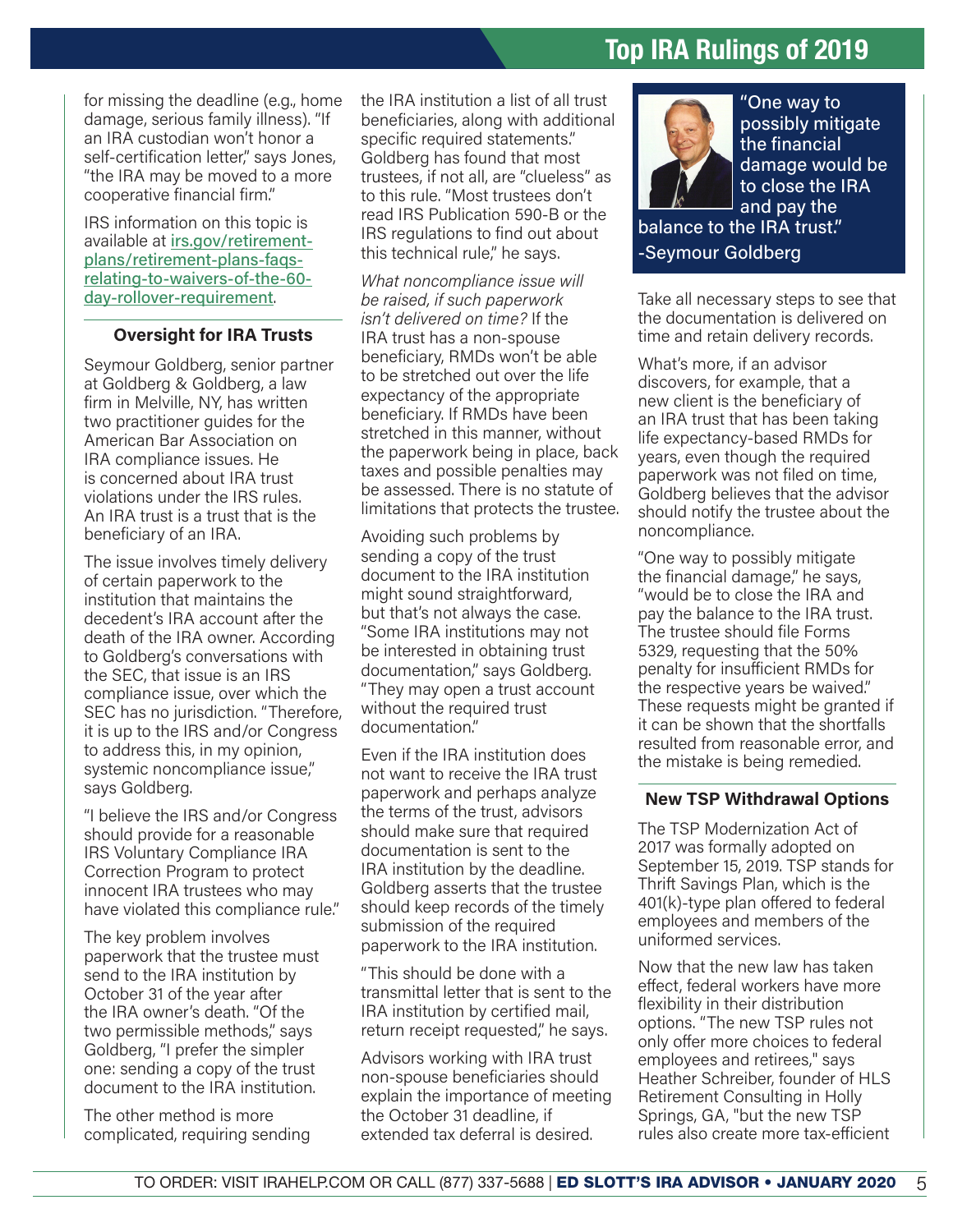for missing the deadline (e.g., home damage, serious family illness). "If an IRA custodian won't honor a self-certification letter," says Jones, "the IRA may be moved to a more cooperative financial firm."

IRS information on this topic is available at [irs.gov/retirement](https://www.irs.gov/retirement-plans/retirement-plans-faqs-relating-to-waivers-of-the-60-day-rollover-requirement)[plans/retirement-plans-faqs](https://www.irs.gov/retirement-plans/retirement-plans-faqs-relating-to-waivers-of-the-60-day-rollover-requirement)[relating-to-waivers-of-the-60](https://www.irs.gov/retirement-plans/retirement-plans-faqs-relating-to-waivers-of-the-60-day-rollover-requirement) [day-rollover-requirement](https://www.irs.gov/retirement-plans/retirement-plans-faqs-relating-to-waivers-of-the-60-day-rollover-requirement).

#### **Oversight for IRA Trusts**

Seymour Goldberg, senior partner at Goldberg & Goldberg, a law firm in Melville, NY, has written two practitioner guides for the American Bar Association on IRA compliance issues. He is concerned about IRA trust violations under the IRS rules. An IRA trust is a trust that is the beneficiary of an IRA.

The issue involves timely delivery of certain paperwork to the institution that maintains the decedent's IRA account after the death of the IRA owner. According to Goldberg's conversations with the SEC, that issue is an IRS compliance issue, over which the SEC has no jurisdiction. "Therefore, it is up to the IRS and/or Congress to address this, in my opinion, systemic noncompliance issue," says Goldberg.

"I believe the IRS and/or Congress should provide for a reasonable IRS Voluntary Compliance IRA Correction Program to protect innocent IRA trustees who may have violated this compliance rule."

The key problem involves paperwork that the trustee must send to the IRA institution by October 31 of the year after the IRA owner's death. "Of the two permissible methods," says Goldberg, "I prefer the simpler one: sending a copy of the trust document to the IRA institution.

The other method is more complicated, requiring sending the IRA institution a list of all trust beneficiaries, along with additional specific required statements." Goldberg has found that most trustees, if not all, are "clueless" as to this rule. "Most trustees don't read IRS Publication 590-B or the IRS regulations to find out about this technical rule," he says.

*What noncompliance issue will be raised, if such paperwork isn't delivered on time?* If the IRA trust has a non-spouse beneficiary, RMDs won't be able to be stretched out over the life expectancy of the appropriate beneficiary. If RMDs have been stretched in this manner, without the paperwork being in place, back taxes and possible penalties may be assessed. There is no statute of limitations that protects the trustee.

Avoiding such problems by sending a copy of the trust document to the IRA institution might sound straightforward, but that's not always the case. "Some IRA institutions may not be interested in obtaining trust documentation," says Goldberg. "They may open a trust account without the required trust documentation."

Even if the IRA institution does not want to receive the IRA trust paperwork and perhaps analyze the terms of the trust, advisors should make sure that required documentation is sent to the IRA institution by the deadline. Goldberg asserts that the trustee should keep records of the timely submission of the required paperwork to the IRA institution.

"This should be done with a transmittal letter that is sent to the IRA institution by certified mail, return receipt requested," he says.

Advisors working with IRA trust non-spouse beneficiaries should explain the importance of meeting the October 31 deadline, if extended tax deferral is desired.



"One way to possibly mitigate the financial damage would be to close the IRA and pay the balance to the IRA trust."

-Seymour Goldberg

Take all necessary steps to see that the documentation is delivered on time and retain delivery records.

What's more, if an advisor discovers, for example, that a new client is the beneficiary of an IRA trust that has been taking life expectancy-based RMDs for years, even though the required paperwork was not filed on time, Goldberg believes that the advisor should notify the trustee about the noncompliance.

"One way to possibly mitigate the financial damage," he says, "would be to close the IRA and pay the balance to the IRA trust. The trustee should file Forms 5329, requesting that the 50% penalty for insufficient RMDs for the respective years be waived." These requests might be granted if it can be shown that the shortfalls resulted from reasonable error, and the mistake is being remedied.

#### **New TSP Withdrawal Options**

The TSP Modernization Act of 2017 was formally adopted on September 15, 2019. TSP stands for Thrift Savings Plan, which is the 401(k)-type plan offered to federal employees and members of the uniformed services.

Now that the new law has taken effect, federal workers have more flexibility in their distribution options. "The new TSP rules not only offer more choices to federal employees and retirees," says Heather Schreiber, founder of HLS Retirement Consulting in Holly Springs, GA, "but the new TSP rules also create more tax-efficient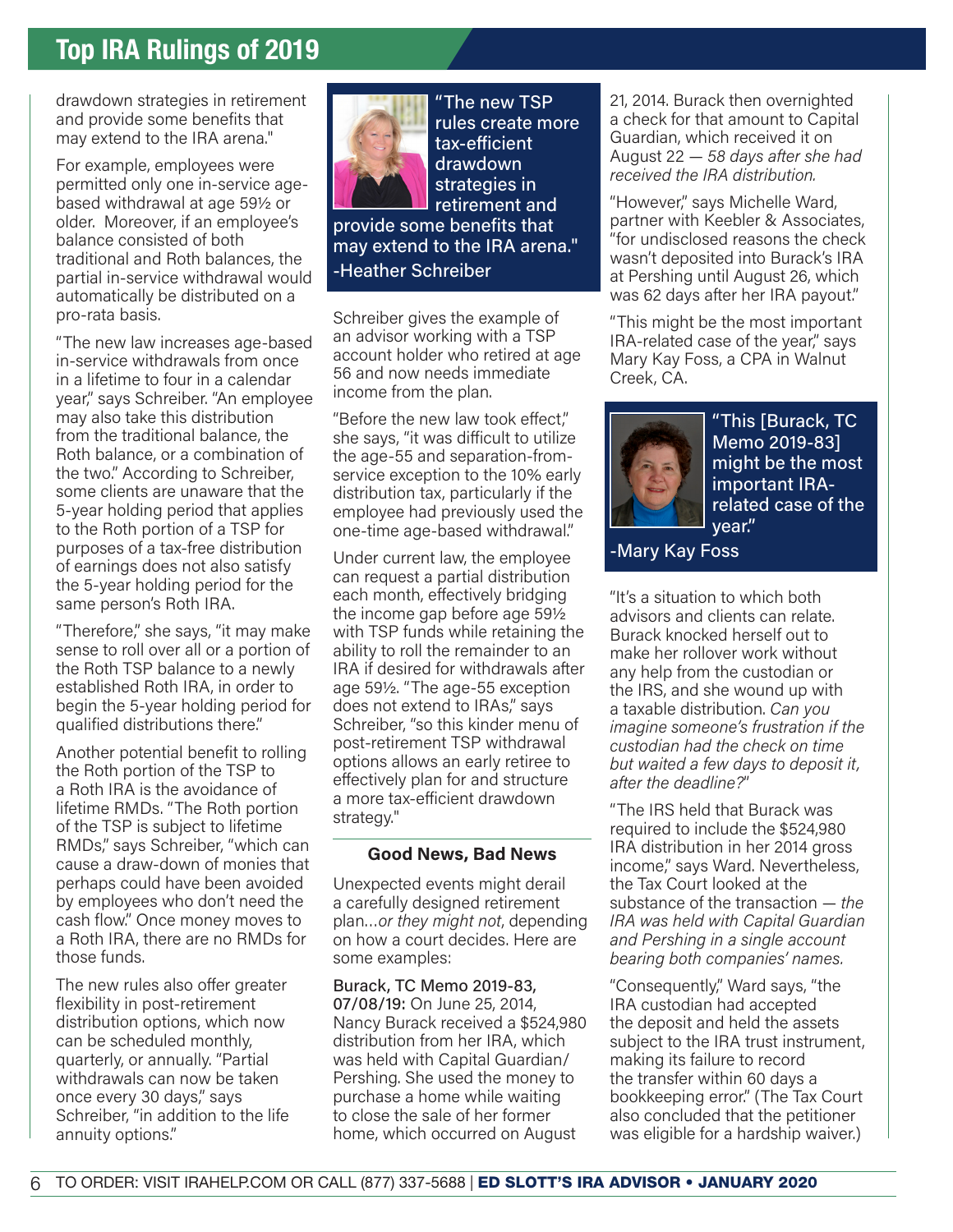drawdown strategies in retirement and provide some benefits that may extend to the IRA arena."

For example, employees were permitted only one in-service agebased withdrawal at age 59½ or older. Moreover, if an employee's balance consisted of both traditional and Roth balances, the partial in-service withdrawal would automatically be distributed on a pro-rata basis.

"The new law increases age-based in-service withdrawals from once in a lifetime to four in a calendar year," says Schreiber. "An employee may also take this distribution from the traditional balance, the Roth balance, or a combination of the two." According to Schreiber, some clients are unaware that the 5-year holding period that applies to the Roth portion of a TSP for purposes of a tax-free distribution of earnings does not also satisfy the 5-year holding period for the same person's Roth IRA.

"Therefore," she says, "it may make sense to roll over all or a portion of the Roth TSP balance to a newly established Roth IRA, in order to begin the 5-year holding period for qualified distributions there."

Another potential benefit to rolling the Roth portion of the TSP to a Roth IRA is the avoidance of lifetime RMDs. "The Roth portion of the TSP is subject to lifetime RMDs," says Schreiber, "which can cause a draw-down of monies that perhaps could have been avoided by employees who don't need the cash flow." Once money moves to a Roth IRA, there are no RMDs for those funds.

The new rules also offer greater flexibility in post-retirement distribution options, which now can be scheduled monthly, quarterly, or annually. "Partial withdrawals can now be taken once every 30 days," says Schreiber, "in addition to the life annuity options."



"The new TSP rules create more tax-efficient drawdown strategies in retirement and provide some benefits that may extend to the IRA arena." -Heather Schreiber

Schreiber gives the example of an advisor working with a TSP account holder who retired at age 56 and now needs immediate income from the plan.

"Before the new law took effect," she says, "it was difficult to utilize the age-55 and separation-fromservice exception to the 10% early distribution tax, particularly if the employee had previously used the one-time age-based withdrawal."

Under current law, the employee can request a partial distribution each month, effectively bridging the income gap before age 59½ with TSP funds while retaining the ability to roll the remainder to an IRA if desired for withdrawals after age 59½. "The age-55 exception does not extend to IRAs," says Schreiber, "so this kinder menu of post-retirement TSP withdrawal options allows an early retiree to effectively plan for and structure a more tax-efficient drawdown strategy."

#### **Good News, Bad News**

Unexpected events might derail a carefully designed retirement plan…*or they might not*, depending on how a court decides. Here are some examples:

Burack, TC Memo 2019-83, 07/08/19: On June 25, 2014, Nancy Burack received a \$524,980 distribution from her IRA, which was held with Capital Guardian/ Pershing. She used the money to purchase a home while waiting to close the sale of her former home, which occurred on August

21, 2014. Burack then overnighted a check for that amount to Capital Guardian, which received it on August 22 — *58 days after she had received the IRA distribution.*

"However," says Michelle Ward, partner with Keebler & Associates. "for undisclosed reasons the check wasn't deposited into Burack's IRA at Pershing until August 26, which was 62 days after her IRA payout."

"This might be the most important IRA-related case of the year," says Mary Kay Foss, a CPA in Walnut Creek, CA.



"This [Burack, TC Memo 2019-83] might be the most important IRArelated case of the year."

-Mary Kay Foss

"It's a situation to which both advisors and clients can relate. Burack knocked herself out to make her rollover work without any help from the custodian or the IRS, and she wound up with a taxable distribution. *Can you imagine someone's frustration if the custodian had the check on time but waited a few days to deposit it, after the deadline?*"

"The IRS held that Burack was required to include the \$524,980 IRA distribution in her 2014 gross income," says Ward. Nevertheless, the Tax Court looked at the substance of the transaction — *the IRA was held with Capital Guardian and Pershing in a single account bearing both companies' names.* 

"Consequently," Ward says, "the IRA custodian had accepted the deposit and held the assets subject to the IRA trust instrument, making its failure to record the transfer within 60 days a bookkeeping error." (The Tax Court also concluded that the petitioner was eligible for a hardship waiver.)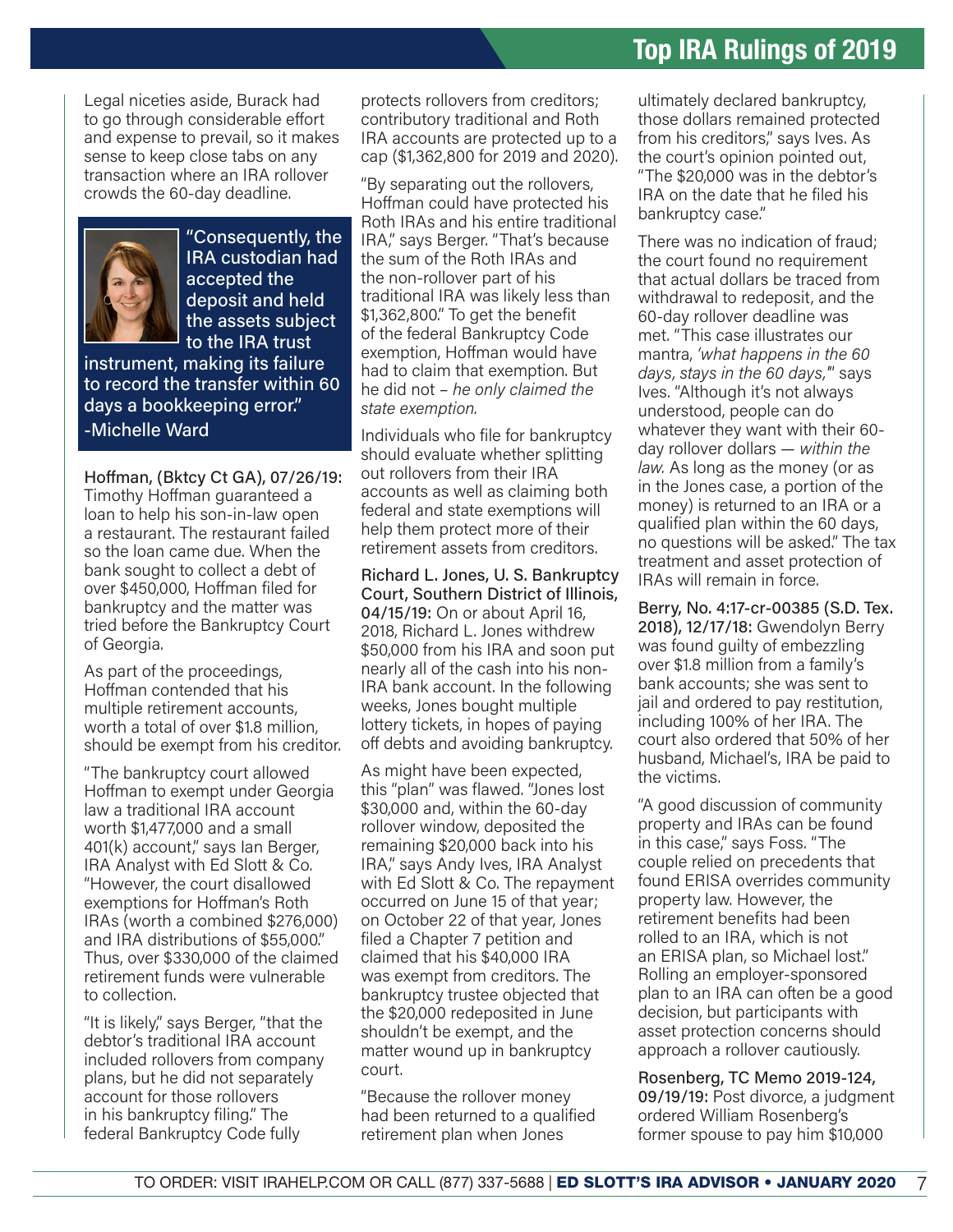Legal niceties aside, Burack had to go through considerable effort and expense to prevail, so it makes sense to keep close tabs on any transaction where an IRA rollover crowds the 60-day deadline.



"Consequently, the IRA custodian had accepted the deposit and held the assets subject to the IRA trust

instrument, making its failure to record the transfer within 60 days a bookkeeping error." -Michelle Ward

Hoffman, (Bktcy Ct GA), 07/26/19: Timothy Hoffman guaranteed a loan to help his son-in-law open a restaurant. The restaurant failed so the loan came due. When the bank sought to collect a debt of over \$450,000, Hoffman filed for bankruptcy and the matter was tried before the Bankruptcy Court of Georgia.

As part of the proceedings, Hoffman contended that his multiple retirement accounts, worth a total of over \$1.8 million, should be exempt from his creditor.

"The bankruptcy court allowed Hoffman to exempt under Georgia law a traditional IRA account worth \$1,477,000 and a small 401(k) account," says Ian Berger, IRA Analyst with Ed Slott & Co. "However, the court disallowed exemptions for Hoffman's Roth IRAs (worth a combined \$276,000) and IRA distributions of \$55,000." Thus, over \$330,000 of the claimed retirement funds were vulnerable to collection.

"It is likely," says Berger, "that the debtor's traditional IRA account included rollovers from company plans, but he did not separately account for those rollovers in his bankruptcy filing." The federal Bankruptcy Code fully

protects rollovers from creditors; contributory traditional and Roth IRA accounts are protected up to a cap (\$1,362,800 for 2019 and 2020).

"By separating out the rollovers, Hoffman could have protected his Roth IRAs and his entire traditional IRA," says Berger. "That's because the sum of the Roth IRAs and the non-rollover part of his traditional IRA was likely less than \$1,362,800." To get the benefit of the federal Bankruptcy Code exemption, Hoffman would have had to claim that exemption. But he did not – *he only claimed the state exemption.*

Individuals who file for bankruptcy should evaluate whether splitting out rollovers from their IRA accounts as well as claiming both federal and state exemptions will help them protect more of their retirement assets from creditors.

Richard L. Jones, U. S. Bankruptcy Court, Southern District of Illinois, 04/15/19: On or about April 16, 2018, Richard L. Jones withdrew \$50,000 from his IRA and soon put nearly all of the cash into his non-IRA bank account. In the following weeks, Jones bought multiple lottery tickets, in hopes of paying off debts and avoiding bankruptcy.

As might have been expected, this "plan" was flawed. "Jones lost \$30,000 and, within the 60-day rollover window, deposited the remaining \$20,000 back into his IRA," says Andy Ives, IRA Analyst with Ed Slott & Co. The repayment occurred on June 15 of that year; on October 22 of that year, Jones filed a Chapter 7 petition and claimed that his \$40,000 IRA was exempt from creditors. The bankruptcy trustee objected that the \$20,000 redeposited in June shouldn't be exempt, and the matter wound up in bankruptcy court.

"Because the rollover money had been returned to a qualified retirement plan when Jones

ultimately declared bankruptcy, those dollars remained protected from his creditors," says Ives. As the court's opinion pointed out, "The \$20,000 was in the debtor's IRA on the date that he filed his bankruptcy case."

There was no indication of fraud; the court found no requirement that actual dollars be traced from withdrawal to redeposit, and the 60-day rollover deadline was met. "This case illustrates our mantra, *'what happens in the 60 days, stays in the 60 days,'*" says Ives. "Although it's not always understood, people can do whatever they want with their 60 day rollover dollars — *within the law.* As long as the money (or as in the Jones case, a portion of the money) is returned to an IRA or a qualified plan within the 60 days, no questions will be asked." The tax treatment and asset protection of IRAs will remain in force.

Berry, No. 4:17-cr-00385 (S.D. Tex. 2018), 12/17/18: Gwendolyn Berry was found guilty of embezzling over \$1.8 million from a family's bank accounts; she was sent to jail and ordered to pay restitution, including 100% of her IRA. The court also ordered that 50% of her husband, Michael's, IRA be paid to the victims.

"A good discussion of community property and IRAs can be found in this case," says Foss. "The couple relied on precedents that found ERISA overrides community property law. However, the retirement benefits had been rolled to an IRA, which is not an ERISA plan, so Michael lost." Rolling an employer-sponsored plan to an IRA can often be a good decision, but participants with asset protection concerns should approach a rollover cautiously.

Rosenberg, TC Memo 2019-124, 09/19/19: Post divorce, a judgment ordered William Rosenberg's former spouse to pay him \$10,000